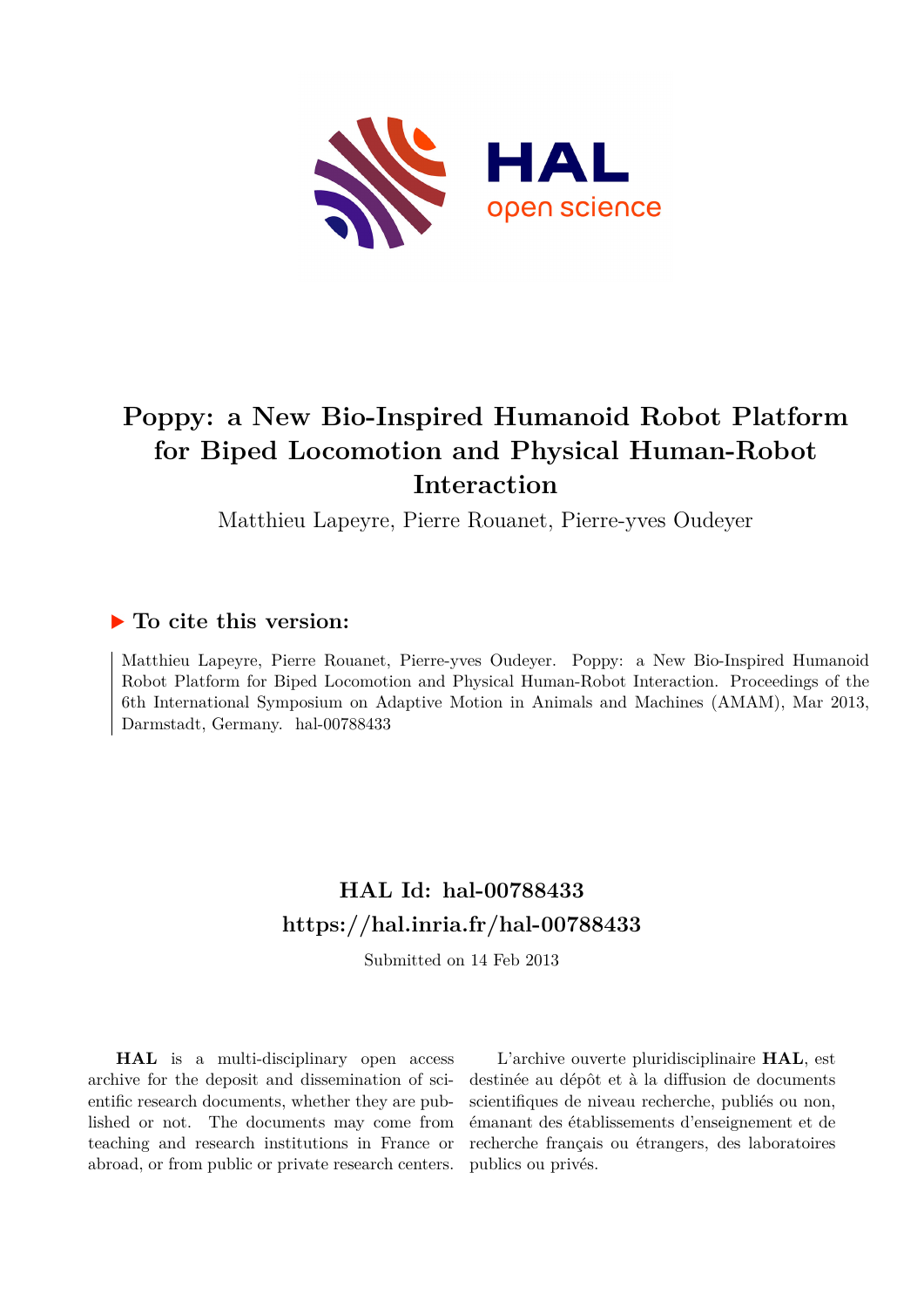

# **Poppy: a New Bio-Inspired Humanoid Robot Platform for Biped Locomotion and Physical Human-Robot Interaction**

Matthieu Lapeyre, Pierre Rouanet, Pierre-yves Oudeyer

### **To cite this version:**

Matthieu Lapeyre, Pierre Rouanet, Pierre-yves Oudeyer. Poppy: a New Bio-Inspired Humanoid Robot Platform for Biped Locomotion and Physical Human-Robot Interaction. Proceedings of the 6th International Symposium on Adaptive Motion in Animals and Machines (AMAM), Mar 2013, Darmstadt, Germany. hal-00788433

### **HAL Id: hal-00788433 <https://hal.inria.fr/hal-00788433>**

Submitted on 14 Feb 2013

**HAL** is a multi-disciplinary open access archive for the deposit and dissemination of scientific research documents, whether they are published or not. The documents may come from teaching and research institutions in France or abroad, or from public or private research centers.

L'archive ouverte pluridisciplinaire **HAL**, est destinée au dépôt et à la diffusion de documents scientifiques de niveau recherche, publiés ou non, émanant des établissements d'enseignement et de recherche français ou étrangers, des laboratoires publics ou privés.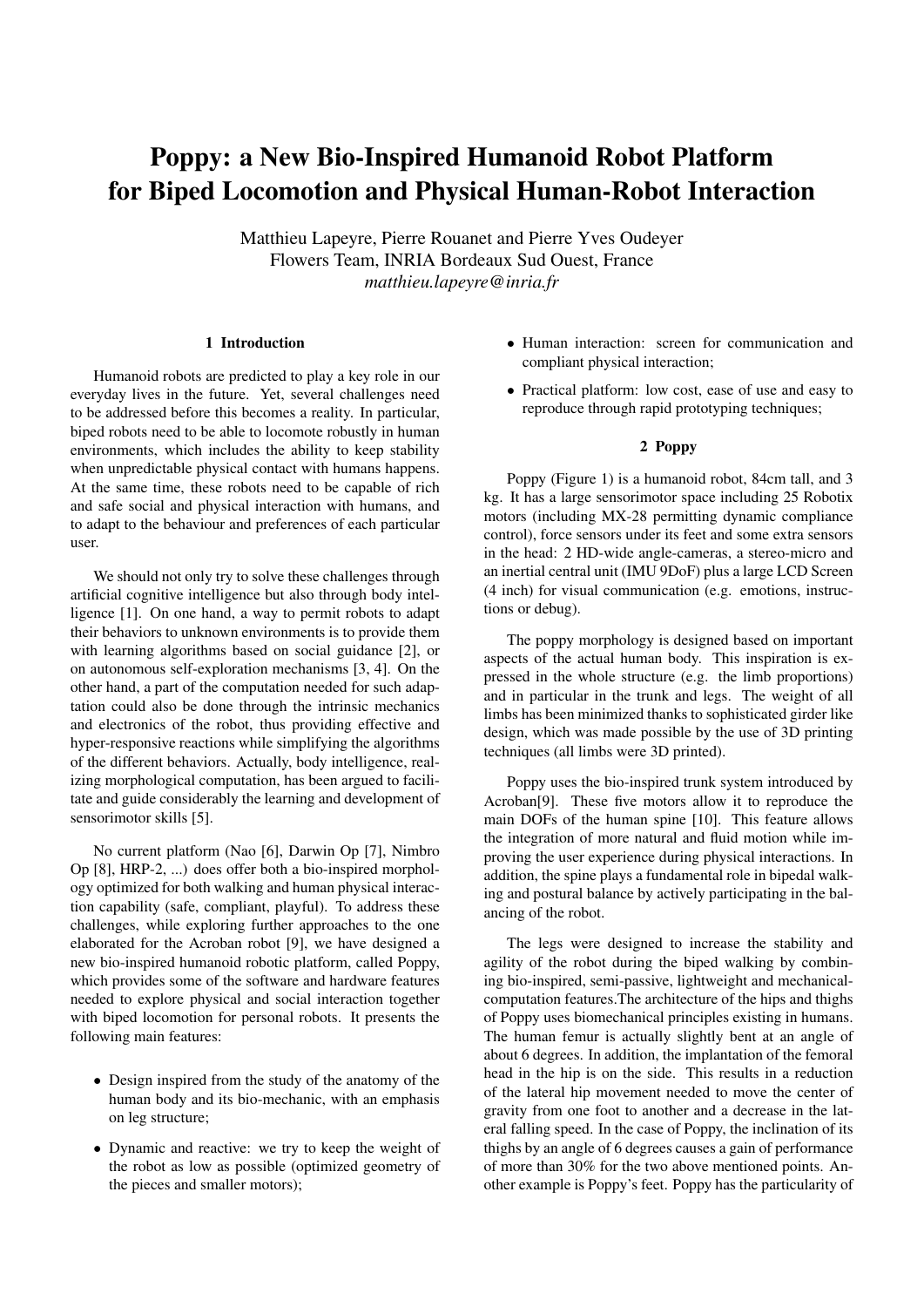## Poppy: a New Bio-Inspired Humanoid Robot Platform for Biped Locomotion and Physical Human-Robot Interaction

Matthieu Lapeyre, Pierre Rouanet and Pierre Yves Oudeyer Flowers Team, INRIA Bordeaux Sud Ouest, France *matthieu.lapeyre@inria.fr*

#### 1 Introduction

Humanoid robots are predicted to play a key role in our everyday lives in the future. Yet, several challenges need to be addressed before this becomes a reality. In particular, biped robots need to be able to locomote robustly in human environments, which includes the ability to keep stability when unpredictable physical contact with humans happens. At the same time, these robots need to be capable of rich and safe social and physical interaction with humans, and to adapt to the behaviour and preferences of each particular user.

We should not only try to solve these challenges through artificial cognitive intelligence but also through body intelligence [1]. On one hand, a way to permit robots to adapt their behaviors to unknown environments is to provide them with learning algorithms based on social guidance [2], or on autonomous self-exploration mechanisms [3, 4]. On the other hand, a part of the computation needed for such adaptation could also be done through the intrinsic mechanics and electronics of the robot, thus providing effective and hyper-responsive reactions while simplifying the algorithms of the different behaviors. Actually, body intelligence, realizing morphological computation, has been argued to facilitate and guide considerably the learning and development of sensorimotor skills [5].

No current platform (Nao [6], Darwin Op [7], Nimbro Op [8], HRP-2, ...) does offer both a bio-inspired morphology optimized for both walking and human physical interaction capability (safe, compliant, playful). To address these challenges, while exploring further approaches to the one elaborated for the Acroban robot [9], we have designed a new bio-inspired humanoid robotic platform, called Poppy, which provides some of the software and hardware features needed to explore physical and social interaction together with biped locomotion for personal robots. It presents the following main features:

- Design inspired from the study of the anatomy of the human body and its bio-mechanic, with an emphasis on leg structure;
- Dynamic and reactive: we try to keep the weight of the robot as low as possible (optimized geometry of the pieces and smaller motors);
- Human interaction: screen for communication and compliant physical interaction;
- Practical platform: low cost, ease of use and easy to reproduce through rapid prototyping techniques;

#### 2 Poppy

Poppy (Figure 1) is a humanoid robot, 84cm tall, and 3 kg. It has a large sensorimotor space including 25 Robotix motors (including MX-28 permitting dynamic compliance control), force sensors under its feet and some extra sensors in the head: 2 HD-wide angle-cameras, a stereo-micro and an inertial central unit (IMU 9DoF) plus a large LCD Screen (4 inch) for visual communication (e.g. emotions, instructions or debug).

The poppy morphology is designed based on important aspects of the actual human body. This inspiration is expressed in the whole structure (e.g. the limb proportions) and in particular in the trunk and legs. The weight of all limbs has been minimized thanks to sophisticated girder like design, which was made possible by the use of 3D printing techniques (all limbs were 3D printed).

Poppy uses the bio-inspired trunk system introduced by Acroban[9]. These five motors allow it to reproduce the main DOFs of the human spine [10]. This feature allows the integration of more natural and fluid motion while improving the user experience during physical interactions. In addition, the spine plays a fundamental role in bipedal walking and postural balance by actively participating in the balancing of the robot.

The legs were designed to increase the stability and agility of the robot during the biped walking by combining bio-inspired, semi-passive, lightweight and mechanicalcomputation features.The architecture of the hips and thighs of Poppy uses biomechanical principles existing in humans. The human femur is actually slightly bent at an angle of about 6 degrees. In addition, the implantation of the femoral head in the hip is on the side. This results in a reduction of the lateral hip movement needed to move the center of gravity from one foot to another and a decrease in the lateral falling speed. In the case of Poppy, the inclination of its thighs by an angle of 6 degrees causes a gain of performance of more than 30% for the two above mentioned points. Another example is Poppy's feet. Poppy has the particularity of